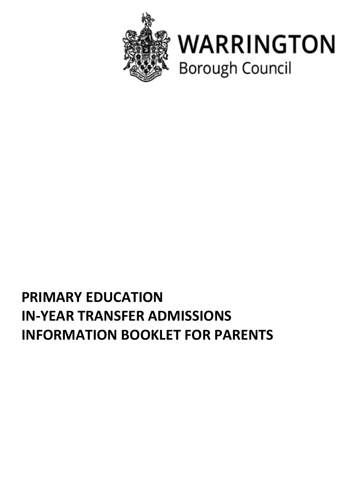



# **PRIMARY EDUCATION IN-YEAR TRANSFER ADMISSIONS INFORMATION BOOKLET FOR PARENTS**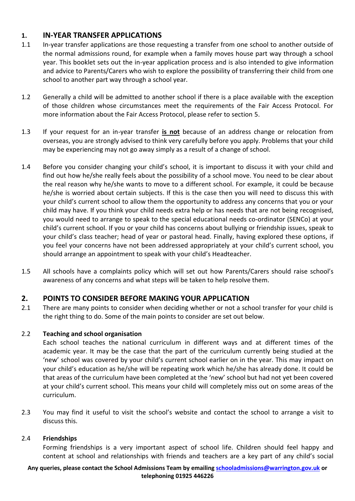## **1. IN-YEAR TRANSFER APPLICATIONS**

- 1.1 In-year transfer applications are those requesting a transfer from one school to another outside of the normal admissions round, for example when a family moves house part way through a school year. This booklet sets out the in-year application process and is also intended to give information and advice to Parents/Carers who wish to explore the possibility of transferring their child from one school to another part way through a school year.
- 1.2 Generally a child will be admitted to another school if there is a place available with the exception of those children whose circumstances meet the requirements of the Fair Access Protocol. For more information about the Fair Access Protocol, please refer to section 5.
- 1.3 If your request for an in-year transfer **is not** because of an address change or relocation from overseas, you are strongly advised to think very carefully before you apply. Problems that your child may be experiencing may not go away simply as a result of a change of school.
- 1.4 Before you consider changing your child's school, it is important to discuss it with your child and find out how he/she really feels about the possibility of a school move. You need to be clear about the real reason why he/she wants to move to a different school. For example, it could be because he/she is worried about certain subjects. If this is the case then you will need to discuss this with your child's current school to allow them the opportunity to address any concerns that you or your child may have. If you think your child needs extra help or has needs that are not being recognised, you would need to arrange to speak to the special educational needs co-ordinator (SENCo) at your child's current school. If you or your child has concerns about bullying or friendship issues, speak to your child's class teacher; head of year or pastoral head. Finally, having explored these options, if you feel your concerns have not been addressed appropriately at your child's current school, you should arrange an appointment to speak with your child's Headteacher.
- 1.5 All schools have a complaints policy which will set out how Parents/Carers should raise school's awareness of any concerns and what steps will be taken to help resolve them.

## **2. POINTS TO CONSIDER BEFORE MAKING YOUR APPLICATION**

2.1 There are many points to consider when deciding whether or not a school transfer for your child is the right thing to do. Some of the main points to consider are set out below.

## 2.2 **Teaching and school organisation**

Each school teaches the national curriculum in different ways and at different times of the academic year. It may be the case that the part of the curriculum currently being studied at the 'new' school was covered by your child's current school earlier on in the year. This may impact on your child's education as he/she will be repeating work which he/she has already done. It could be that areas of the curriculum have been completed at the 'new' school but had not yet been covered at your child's current school. This means your child will completely miss out on some areas of the curriculum.

2.3 You may find it useful to visit the school's website and contact the school to arrange a visit to discuss this.

#### 2.4 **Friendships**

Forming friendships is a very important aspect of school life. Children should feel happy and content at school and relationships with friends and teachers are a key part of any child's social

#### **Any queries, please contact the School Admissions Team by emailing [schooladmissions@warrington.gov.uk](mailto:schooladmissions@warrington.gov.uk) or telephoning 01925 446226**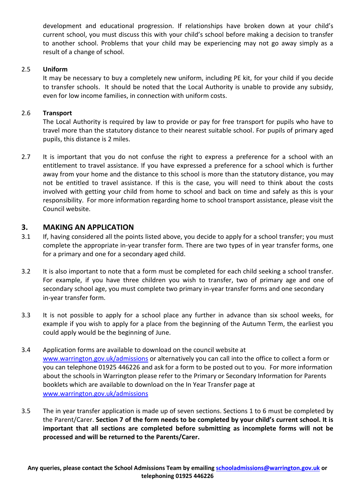development and educational progression. If relationships have broken down at your child's current school, you must discuss this with your child's school before making a decision to transfer to another school. Problems that your child may be experiencing may not go away simply as a result of a change of school.

#### 2.5 **Uniform**

It may be necessary to buy a completely new uniform, including PE kit, for your child if you decide to transfer schools. It should be noted that the Local Authority is unable to provide any subsidy, even for low income families, in connection with uniform costs.

#### 2.6 **Transport**

The Local Authority is required by law to provide or pay for free transport for pupils who have to travel more than the statutory distance to their nearest suitable school. For pupils of primary aged pupils, this distance is 2 miles.

2.7 It is important that you do not confuse the right to express a preference for a school with an entitlement to travel assistance. If you have expressed a preference for a school which is further away from your home and the distance to this school is more than the statutory distance, you may not be entitled to travel assistance. If this is the case, you will need to think about the costs involved with getting your child from home to school and back on time and safely as this is your responsibility. For more information regarding home to school transport assistance, please visit the Council website.

#### **3. MAKING AN APPLICATION**

- 3.1 If, having considered all the points listed above, you decide to apply for a school transfer; you must complete the appropriate in-year transfer form. There are two types of in year transfer forms, one for a primary and one for a secondary aged child.
- 3.2 It is also important to note that a form must be completed for each child seeking a school transfer. For example, if you have three children you wish to transfer, two of primary age and one of secondary school age, you must complete two primary in-year transfer forms and one secondary in-year transfer form.
- 3.3 It is not possible to apply for a school place any further in advance than six school weeks, for example if you wish to apply for a place from the beginning of the Autumn Term, the earliest you could apply would be the beginning of June.
- 3.4 Application forms are available to download on the council website at [www.warrington.gov.uk/admissions](http://www.warrington.gov.uk/admissions) or alternatively you can call into the office to collect a form or you can telephone 01925 446226 and ask for a form to be posted out to you. For more information about the schools in Warrington please refer to the Primary or Secondary Information for Parents booklets which are available to download on the In Year Transfer page at [www.warrington.gov.uk/admissions](http://www.warrington.gov.uk/admissions)
- 3.5 The in year transfer application is made up of seven sections. Sections 1 to 6 must be completed by the Parent/Carer. **Section 7 of the form needs to be completed by your child's current school. It is important that all sections are completed before submitting as incomplete forms will not be processed and will be returned to the Parents/Carer.**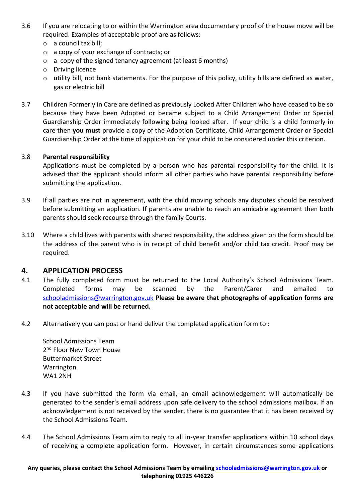- 3.6 If you are relocating to or within the Warrington area documentary proof of the house move will be required. Examples of acceptable proof are as follows:
	- o a council tax bill;
	- o a copy of your exchange of contracts; or
	- o a copy of the signed tenancy agreement (at least 6 months)
	- o Driving licence
	- $\circ$  utility bill, not bank statements. For the purpose of this policy, utility bills are defined as water, gas or electric bill
- 3.7 Children Formerly in Care are defined as previously Looked After Children who have ceased to be so because they have been Adopted or became subject to a Child Arrangement Order or Special Guardianship Order immediately following being looked after. If your child is a child formerly in care then **you must** provide a copy of the Adoption Certificate, Child Arrangement Order or Special Guardianship Order at the time of application for your child to be considered under this criterion.

#### 3.8 **Parental responsibility**

Applications must be completed by a person who has parental responsibility for the child. It is advised that the applicant should inform all other parties who have parental responsibility before submitting the application.

- 3.9 If all parties are not in agreement, with the child moving schools any disputes should be resolved before submitting an application. If parents are unable to reach an amicable agreement then both parents should seek recourse through the family Courts.
- 3.10 Where a child lives with parents with shared responsibility, the address given on the form should be the address of the parent who is in receipt of child benefit and/or child tax credit. Proof may be required.

#### **4. APPLICATION PROCESS**

- 4.1 The fully completed form must be returned to the Local Authority's School Admissions Team. Completed forms may be scanned by the Parent/Carer and emailed to [schooladmissions@warrington.gov.uk](mailto:schooladmissions@warrington.gov.uk) **Please be aware that photographs of application forms are not acceptable and will be returned.**
- 4.2 Alternatively you can post or hand deliver the completed application form to :

School Admissions Team 2<sup>nd</sup> Floor New Town House Buttermarket Street Warrington WA1 2NH

- 4.3 If you have submitted the form via email, an email acknowledgement will automatically be generated to the sender's email address upon safe delivery to the school admissions mailbox. If an acknowledgement is not received by the sender, there is no guarantee that it has been received by the School Admissions Team.
- 4.4 The School Admissions Team aim to reply to all in-year transfer applications within 10 school days of receiving a complete application form. However, in certain circumstances some applications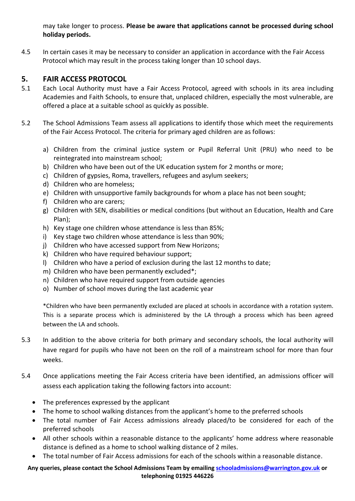may take longer to process. **Please be aware that applications cannot be processed during school holiday periods.**

4.5 In certain cases it may be necessary to consider an application in accordance with the Fair Access Protocol which may result in the process taking longer than 10 school days.

# **5. FAIR ACCESS PROTOCOL**

- 5.1 Each Local Authority must have a Fair Access Protocol, agreed with schools in its area including Academies and Faith Schools, to ensure that, unplaced children, especially the most vulnerable, are offered a place at a suitable school as quickly as possible.
- 5.2 The School Admissions Team assess all applications to identify those which meet the requirements of the Fair Access Protocol. The criteria for primary aged children are as follows:
	- a) Children from the criminal justice system or Pupil Referral Unit (PRU) who need to be reintegrated into mainstream school;
	- b) Children who have been out of the UK education system for 2 months or more;
	- c) Children of gypsies, Roma, travellers, refugees and asylum seekers;
	- d) Children who are homeless;
	- e) Children with unsupportive family backgrounds for whom a place has not been sought;
	- f) Children who are carers;
	- g) Children with SEN, disabilities or medical conditions (but without an Education, Health and Care Plan);
	- h) Key stage one children whose attendance is less than 85%;
	- i) Key stage two children whose attendance is less than 90%;
	- j) Children who have accessed support from New Horizons;
	- k) Children who have required behaviour support;
	- l) Children who have a period of exclusion during the last 12 months to date;
	- m) Children who have been permanently excluded\*;
	- n) Children who have required support from outside agencies
	- o) Number of school moves during the last academic year

\*Children who have been permanently excluded are placed at schools in accordance with a rotation system. This is a separate process which is administered by the LA through a process which has been agreed between the LA and schools.

- 5.3 In addition to the above criteria for both primary and secondary schools, the local authority will have regard for pupils who have not been on the roll of a mainstream school for more than four weeks.
- 5.4 Once applications meeting the Fair Access criteria have been identified, an admissions officer will assess each application taking the following factors into account:
	- The preferences expressed by the applicant
	- The home to school walking distances from the applicant's home to the preferred schools
	- The total number of Fair Access admissions already placed/to be considered for each of the preferred schools
	- All other schools within a reasonable distance to the applicants' home address where reasonable distance is defined as a home to school walking distance of 2 miles.
	- The total number of Fair Access admissions for each of the schools within a reasonable distance.

#### **Any queries, please contact the School Admissions Team by emailing [schooladmissions@warrington.gov.uk](mailto:schooladmissions@warrington.gov.uk) or telephoning 01925 446226**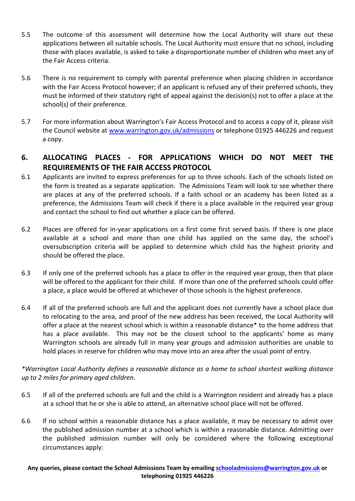- 5.5 The outcome of this assessment will determine how the Local Authority will share out these applications between all suitable schools. The Local Authority must ensure that no school, including those with places available, is asked to take a disproportionate number of children who meet any of the Fair Access criteria.
- 5.6 There is no requirement to comply with parental preference when placing children in accordance with the Fair Access Protocol however; if an applicant is refused any of their preferred schools, they must be informed of their statutory right of appeal against the decision(s) not to offer a place at the school(s) of their preference.
- 5.7 For more information about Warrington's Fair Access Protocol and to access a copy of it, please visit the Council website at [www.warrington.gov.uk/admissions](http://www.warrington.gov.uk/admissions) or telephone 01925 446226 and request a copy.

# **6. ALLOCATING PLACES - FOR APPLICATIONS WHICH DO NOT MEET THE REQUIREMENTS OF THE FAIR ACCESS PROTOCOL**

- 6.1 Applicants are invited to express preferences for up to three schools. Each of the schools listed on the form is treated as a separate application. The Admissions Team will look to see whether there are places at any of the preferred schools. If a faith school or an academy has been listed as a preference, the Admissions Team will check if there is a place available in the required year group and contact the school to find out whether a place can be offered.
- 6.2 Places are offered for in-year applications on a first come first served basis. If there is one place available at a school and more than one child has applied on the same day, the school's oversubscription criteria will be applied to determine which child has the highest priority and should be offered the place.
- 6.3 If only one of the preferred schools has a place to offer in the required year group, then that place will be offered to the applicant for their child. If more than one of the preferred schools could offer a place, a place would be offered at whichever of those schools is the highest preference.
- 6.4 If all of the preferred schools are full and the applicant does not currently have a school place due to relocating to the area, and proof of the new address has been received, the Local Authority will offer a place at the nearest school which is within a reasonable distance\* to the home address that has a place available. This may not be the closest school to the applicants' home as many Warrington schools are already full in many year groups and admission authorities are unable to hold places in reserve for children who may move into an area after the usual point of entry.

*\*Warrington Local Authority defines a reasonable distance as a home to school shortest walking distance up to 2 miles for primary aged children.*

- 6.5 If all of the preferred schools are full and the child is a Warrington resident and already has a place at a school that he or she is able to attend, an alternative school place will not be offered.
- 6.6 If no school within a reasonable distance has a place available, it may be necessary to admit over the published admission number at a school which is within a reasonable distance. Admitting over the published admission number will only be considered where the following exceptional circumstances apply: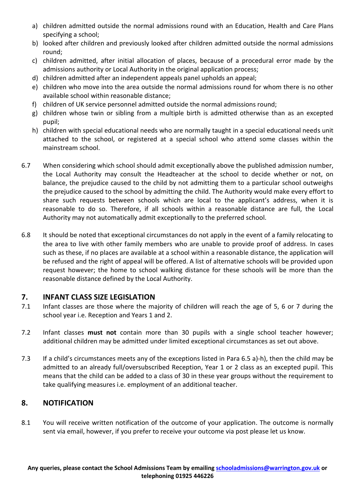- a) children admitted outside the normal admissions round with an Education, Health and Care Plans specifying a school;
- b) looked after children and previously looked after children admitted outside the normal admissions round;
- c) children admitted, after initial allocation of places, because of a procedural error made by the admissions authority or Local Authority in the original application process;
- d) children admitted after an independent appeals panel upholds an appeal;
- e) children who move into the area outside the normal admissions round for whom there is no other available school within reasonable distance;
- f) children of UK service personnel admitted outside the normal admissions round;
- g) children whose twin or sibling from a multiple birth is admitted otherwise than as an excepted pupil;
- h) children with special educational needs who are normally taught in a special educational needs unit attached to the school, or registered at a special school who attend some classes within the mainstream school.
- 6.7 When considering which school should admit exceptionally above the published admission number, the Local Authority may consult the Headteacher at the school to decide whether or not, on balance, the prejudice caused to the child by not admitting them to a particular school outweighs the prejudice caused to the school by admitting the child. The Authority would make every effort to share such requests between schools which are local to the applicant's address, when it is reasonable to do so. Therefore, if all schools within a reasonable distance are full, the Local Authority may not automatically admit exceptionally to the preferred school.
- 6.8 It should be noted that exceptional circumstances do not apply in the event of a family relocating to the area to live with other family members who are unable to provide proof of address. In cases such as these, if no places are available at a school within a reasonable distance, the application will be refused and the right of appeal will be offered. A list of alternative schools will be provided upon request however; the home to school walking distance for these schools will be more than the reasonable distance defined by the Local Authority.

# **7. INFANT CLASS SIZE LEGISLATION**

- 7.1 Infant classes are those where the majority of children will reach the age of 5, 6 or 7 during the school year i.e. Reception and Years 1 and 2.
- 7.2 Infant classes **must not** contain more than 30 pupils with a single school teacher however; additional children may be admitted under limited exceptional circumstances as set out above.
- 7.3 If a child's circumstances meets any of the exceptions listed in Para 6.5 a)-h), then the child may be admitted to an already full/oversubscribed Reception, Year 1 or 2 class as an excepted pupil. This means that the child can be added to a class of 30 in these year groups without the requirement to take qualifying measures i.e. employment of an additional teacher.

# **8. NOTIFICATION**

8.1 You will receive written notification of the outcome of your application. The outcome is normally sent via email, however, if you prefer to receive your outcome via post please let us know.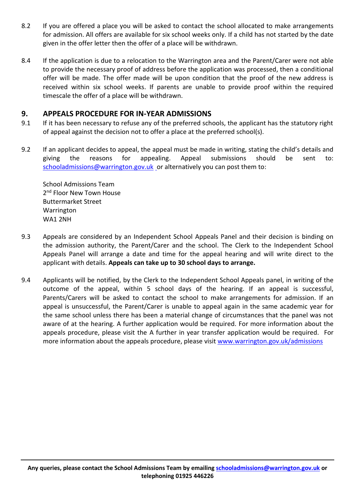- 8.2 If you are offered a place you will be asked to contact the school allocated to make arrangements for admission. All offers are available for six school weeks only. If a child has not started by the date given in the offer letter then the offer of a place will be withdrawn.
- 8.4 If the application is due to a relocation to the Warrington area and the Parent/Carer were not able to provide the necessary proof of address before the application was processed, then a conditional offer will be made. The offer made will be upon condition that the proof of the new address is received within six school weeks. If parents are unable to provide proof within the required timescale the offer of a place will be withdrawn.

# **9. APPEALS PROCEDURE FOR IN-YEAR ADMISSIONS**

- 9.1 If it has been necessary to refuse any of the preferred schools, the applicant has the statutory right of appeal against the decision not to offer a place at the preferred school(s).
- 9.2 If an applicant decides to appeal, the appeal must be made in writing, stating the child's details and giving the reasons for appealing. Appeal submissions should be sent to: [schooladmissions@warrington.gov.uk](mailto:schooladmissions@warrington.gov.uk) or alternatively you can post them to:

School Admissions Team 2<sup>nd</sup> Floor New Town House Buttermarket Street Warrington WA1 2NH

- 9.3 Appeals are considered by an Independent School Appeals Panel and their decision is binding on the admission authority, the Parent/Carer and the school. The Clerk to the Independent School Appeals Panel will arrange a date and time for the appeal hearing and will write direct to the applicant with details. **Appeals can take up to 30 school days to arrange.**
- 9.4 Applicants will be notified, by the Clerk to the Independent School Appeals panel, in writing of the outcome of the appeal, within 5 school days of the hearing. If an appeal is successful, Parents/Carers will be asked to contact the school to make arrangements for admission. If an appeal is unsuccessful, the Parent/Carer is unable to appeal again in the same academic year for the same school unless there has been a material change of circumstances that the panel was not aware of at the hearing. A further application would be required. For more information about the appeals procedure, please visit the A further in year transfer application would be required. For more information about the appeals procedure, please visit [www.warrington.gov.uk/admissions](http://www.warrington.gov.uk/admissions)